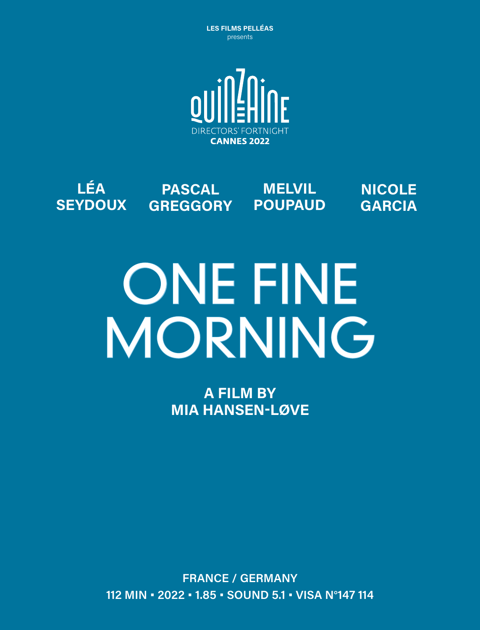**LES FILMS PELLÉAS** presents



#### **LÉA SEYDOUX PASCAL GREGGORY POUPAUD MELVIL NICOLE GARCIA**

# ONE FINE **MORNING**

**A FILM BY MIA HANSEN-LØVE**

**FRANCE / GERMANY 112 MIN • 2022 • 1.85 • SOUND 5.1 • VISA N°147 114**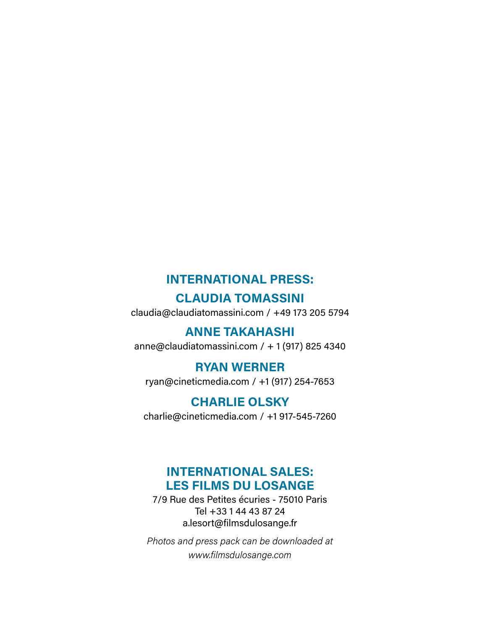#### **INTERNATIONAL PRESS:**

#### **CLAUDIA TOMASSINI**

claudia@claudiatomassini.com / +49 173 205 5794

#### **ANNE TAKAHASHI**

anne@claudiatomassini.com / + 1 (917) 825 4340

#### **RYAN WERNER**

ryan@cineticmedia.com / +1 (917) 254-7653

#### **CHARLIE OLSKY**

charlie@cineticmedia.com / +1 917-545-7260

#### **INTERNATIONAL SALES: LES FILMS DU LOSANGE**

7/9 Rue des Petites écuries - 75010 Paris Tel +33 1 44 43 87 24 a.lesort@filmsdulosange.fr

*Photos and press pack can be downloaded at www.filmsdulosange.com*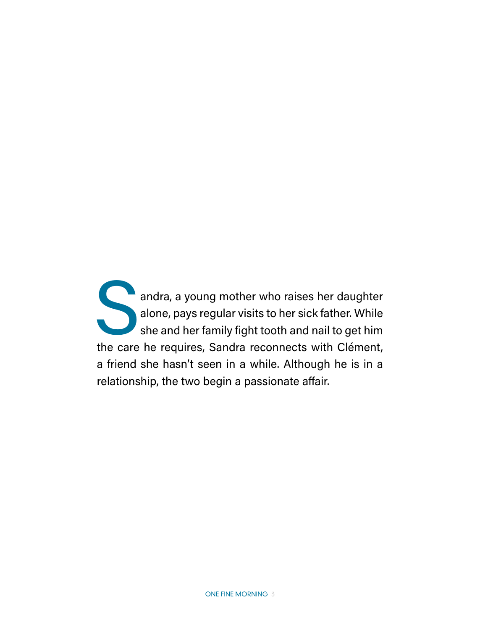andra, a young mother who raises her daughter alone, pays regular visits to her sick father. While she and her family fight tooth and nail to get him the care he requires, Sandra reconnects with Clément, a friend she hasn't seen in a while. Although he is in a relationship, the two begin a passionate affair.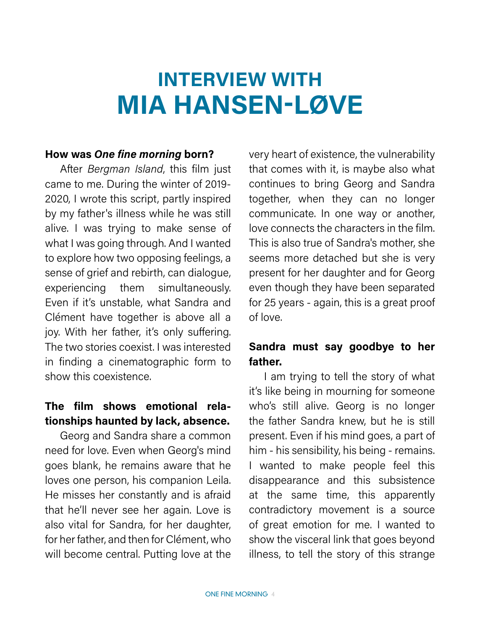# **INTERVIEW WITH MIA HANSEN-LØVE**

#### **How was** *One fine morning* **born?**

After *Bergman Island*, this film just came to me. During the winter of 2019- 2020, I wrote this script, partly inspired by my father's illness while he was still alive. I was trying to make sense of what I was going through. And I wanted to explore how two opposing feelings, a sense of grief and rebirth, can dialogue, experiencing them simultaneously. Even if it's unstable, what Sandra and Clément have together is above all a joy. With her father, it's only suffering. The two stories coexist. I was interested in finding a cinematographic form to show this coexistence.

#### **The film shows emotional relationships haunted by lack, absence.**

Georg and Sandra share a common need for love. Even when Georg's mind goes blank, he remains aware that he loves one person, his companion Leila. He misses her constantly and is afraid that he'll never see her again. Love is also vital for Sandra, for her daughter, for her father, and then for Clément, who will become central. Putting love at the

very heart of existence, the vulnerability that comes with it, is maybe also what continues to bring Georg and Sandra together, when they can no longer communicate. In one way or another, love connects the characters in the film. This is also true of Sandra's mother, she seems more detached but she is very present for her daughter and for Georg even though they have been separated for 25 years - again, this is a great proof of love.

#### **Sandra must say goodbye to her father.**

I am trying to tell the story of what it's like being in mourning for someone who's still alive. Georg is no longer the father Sandra knew, but he is still present. Even if his mind goes, a part of him - his sensibility, his being - remains. I wanted to make people feel this disappearance and this subsistence at the same time, this apparently contradictory movement is a source of great emotion for me. I wanted to show the visceral link that goes beyond illness, to tell the story of this strange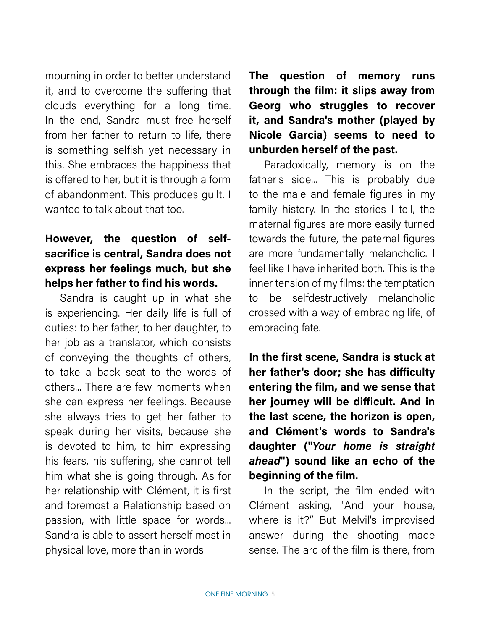mourning in order to better understand it, and to overcome the suffering that clouds everything for a long time. In the end, Sandra must free herself from her father to return to life, there is something selfish yet necessary in this. She embraces the happiness that is offered to her, but it is through a form of abandonment. This produces guilt. I wanted to talk about that too.

#### **However, the question of selfsacrifice is central, Sandra does not express her feelings much, but she helps her father to find his words.**

Sandra is caught up in what she is experiencing. Her daily life is full of duties: to her father, to her daughter, to her job as a translator, which consists of conveying the thoughts of others, to take a back seat to the words of others... There are few moments when she can express her feelings. Because she always tries to get her father to speak during her visits, because she is devoted to him, to him expressing his fears, his suffering, she cannot tell him what she is going through. As for her relationship with Clément, it is first and foremost a Relationship based on passion, with little space for words... Sandra is able to assert herself most in physical love, more than in words.

**The question of memory runs through the film: it slips away from Georg who struggles to recover it, and Sandra's mother (played by Nicole Garcia) seems to need to unburden herself of the past.**

Paradoxically, memory is on the father's side... This is probably due to the male and female figures in my family history. In the stories I tell, the maternal figures are more easily turned towards the future, the paternal figures are more fundamentally melancholic. I feel like I have inherited both. This is the inner tension of my films: the temptation to be selfdestructively melancholic crossed with a way of embracing life, of embracing fate.

**In the first scene, Sandra is stuck at her father's door; she has difficulty entering the film, and we sense that her journey will be difficult. And in the last scene, the horizon is open, and Clément's words to Sandra's daughter ("***Your home is straight ahead***") sound like an echo of the beginning of the film.**

In the script, the film ended with Clément asking, "And your house, where is it?" But Melvil's improvised answer during the shooting made sense. The arc of the film is there, from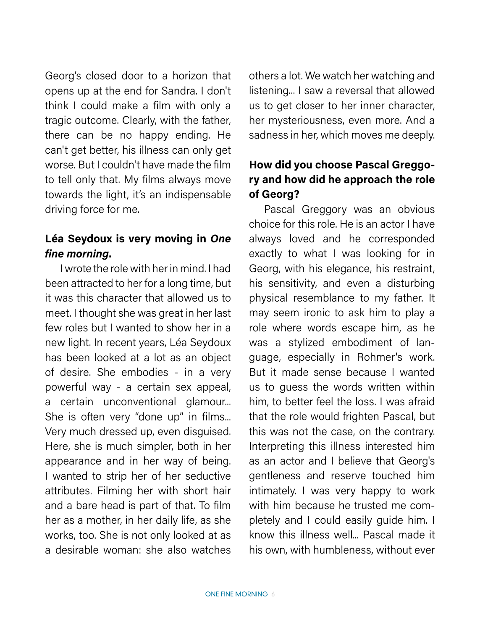Georg's closed door to a horizon that opens up at the end for Sandra. I don't think I could make a film with only a tragic outcome. Clearly, with the father, there can be no happy ending. He can't get better, his illness can only get worse. But I couldn't have made the film to tell only that. My films always move towards the light, it's an indispensable driving force for me.

#### **Léa Seydoux is very moving in** *One fine morning***.**

I wrote the role with her in mind. I had been attracted to her for a long time, but it was this character that allowed us to meet. I thought she was great in her last few roles but I wanted to show her in a new light. In recent years, Léa Seydoux has been looked at a lot as an object of desire. She embodies - in a very powerful way - a certain sex appeal, a certain unconventional glamour... She is often very "done up" in films... Very much dressed up, even disguised. Here, she is much simpler, both in her appearance and in her way of being. I wanted to strip her of her seductive attributes. Filming her with short hair and a bare head is part of that. To film her as a mother, in her daily life, as she works, too. She is not only looked at as a desirable woman: she also watches others a lot. We watch her watching and listening... I saw a reversal that allowed us to get closer to her inner character, her mysteriousness, even more. And a sadness in her, which moves me deeply.

## **How did you choose Pascal Greggory and how did he approach the role of Georg?**

Pascal Greggory was an obvious choice for this role. He is an actor I have always loved and he corresponded exactly to what I was looking for in Georg, with his elegance, his restraint, his sensitivity, and even a disturbing physical resemblance to my father. It may seem ironic to ask him to play a role where words escape him, as he was a stylized embodiment of language, especially in Rohmer's work. But it made sense because I wanted us to guess the words written within him, to better feel the loss. I was afraid that the role would frighten Pascal, but this was not the case, on the contrary. Interpreting this illness interested him as an actor and I believe that Georg's gentleness and reserve touched him intimately. I was very happy to work with him because he trusted me completely and I could easily guide him. I know this illness well... Pascal made it his own, with humbleness, without ever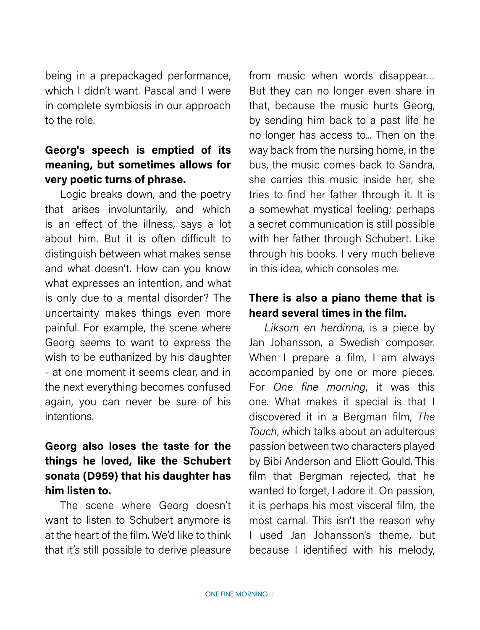being in a prepackaged performance, which I didn't want. Pascal and I were in complete symbiosis in our approach to the role.

### **Georg's speech is emptied of its meaning, but sometimes allows for very poetic turns of phrase.**

Logic breaks down, and the poetry that arises involuntarily, and which is an effect of the illness, says a lot about him. But it is often difficult to distinguish between what makes sense and what doesn't. How can you know what expresses an intention, and what is only due to a mental disorder? The uncertainty makes things even more painful. For example, the scene where Georg seems to want to express the wish to be euthanized by his daughter - at one moment it seems clear, and in the next everything becomes confused again, you can never be sure of his intentions.

### **Georg also loses the taste for the things he loved, like the Schubert sonata (D959) that his daughter has him listen to.**

The scene where Georg doesn't want to listen to Schubert anymore is at the heart of the film. We'd like to think that it's still possible to derive pleasure from music when words disappear… But they can no longer even share in that, because the music hurts Georg, by sending him back to a past life he no longer has access to... Then on the way back from the nursing home, in the bus, the music comes back to Sandra, she carries this music inside her, she tries to find her father through it. It is a somewhat mystical feeling; perhaps a secret communication is still possible with her father through Schubert. Like through his books. I very much believe in this idea, which consoles me.

#### **There is also a piano theme that is heard several times in the film.**

Liksom en herdinna, is a piece by Jan Johansson, a Swedish composer. When I prepare a film, I am always accompanied by one or more pieces. For *One fine morning*, it was this one. What makes it special is that I discovered it in a Bergman film, *The Touch*, which talks about an adulterous passion between two characters played by Bibi Anderson and Eliott Gould. This film that Bergman rejected, that he wanted to forget, I adore it. On passion, it is perhaps his most visceral film, the most carnal. This isn't the reason why I used Jan Johansson's theme, but because I identified with his melody,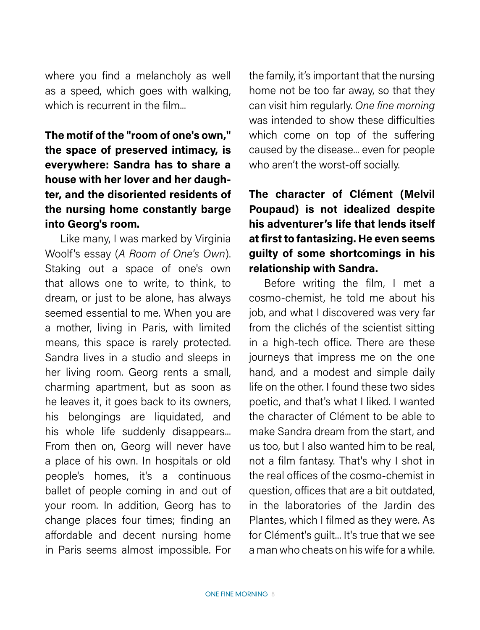where you find a melancholy as well as a speed, which goes with walking, which is recurrent in the film

## **The motif of the "room of one's own," the space of preserved intimacy, is everywhere: Sandra has to share a house with her lover and her daughter, and the disoriented residents of the nursing home constantly barge into Georg's room.**

Like many, I was marked by Virginia Woolf's essay (*A Room of One's Own*). Staking out a space of one's own that allows one to write, to think, to dream, or just to be alone, has always seemed essential to me. When you are a mother, living in Paris, with limited means, this space is rarely protected. Sandra lives in a studio and sleeps in her living room. Georg rents a small, charming apartment, but as soon as he leaves it, it goes back to its owners, his belongings are liquidated, and his whole life suddenly disappears... From then on, Georg will never have a place of his own. In hospitals or old people's homes, it's a continuous ballet of people coming in and out of your room. In addition, Georg has to change places four times; finding an affordable and decent nursing home in Paris seems almost impossible. For the family, it's important that the nursing home not be too far away, so that they can visit him regularly. *One fine morning* was intended to show these difficulties which come on top of the suffering caused by the disease... even for people who aren't the worst-off socially.

## **The character of Clément (Melvil Poupaud) is not idealized despite his adventurer's life that lends itself at first to fantasizing. He even seems guilty of some shortcomings in his relationship with Sandra.**

Before writing the film, I met a cosmo-chemist, he told me about his job, and what I discovered was very far from the clichés of the scientist sitting in a high-tech office. There are these journeys that impress me on the one hand, and a modest and simple daily life on the other. I found these two sides poetic, and that's what I liked. I wanted the character of Clément to be able to make Sandra dream from the start, and us too, but I also wanted him to be real, not a film fantasy. That's why I shot in the real offices of the cosmo-chemist in question, offices that are a bit outdated, in the laboratories of the Jardin des Plantes, which I filmed as they were. As for Clément's guilt... It's true that we see a man who cheats on his wife for a while.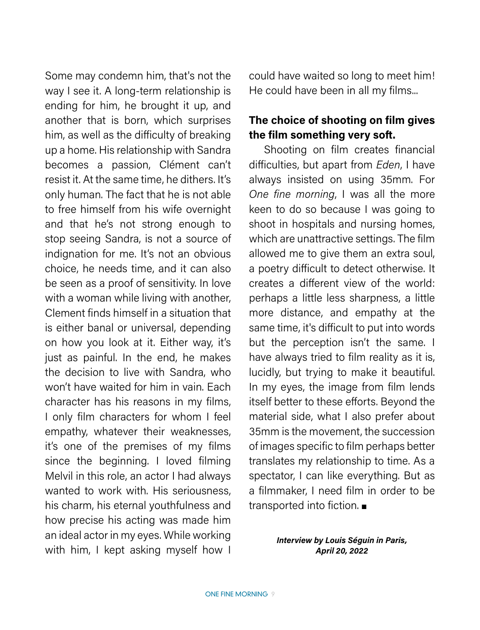Some may condemn him, that's not the way I see it. A long-term relationship is ending for him, he brought it up, and another that is born, which surprises him, as well as the difficulty of breaking up a home. His relationship with Sandra becomes a passion, Clément can't resist it. At the same time, he dithers. It's only human. The fact that he is not able to free himself from his wife overnight and that he's not strong enough to stop seeing Sandra, is not a source of indignation for me. It's not an obvious choice, he needs time, and it can also be seen as a proof of sensitivity. In love with a woman while living with another, Clement finds himself in a situation that is either banal or universal, depending on how you look at it. Either way, it's just as painful. In the end, he makes the decision to live with Sandra, who won't have waited for him in vain. Each character has his reasons in my films, I only film characters for whom I feel empathy, whatever their weaknesses, it's one of the premises of my films since the beginning. I loved filming Melvil in this role, an actor I had always wanted to work with. His seriousness, his charm, his eternal youthfulness and how precise his acting was made him an ideal actor in my eyes. While working with him, I kept asking myself how I

could have waited so long to meet him! He could have been in all my films...

#### **The choice of shooting on film gives the film something very soft.**

Shooting on film creates financial difficulties, but apart from *Eden*, I have always insisted on using 35mm. For *One fine morning*, I was all the more keen to do so because I was going to shoot in hospitals and nursing homes, which are unattractive settings. The film allowed me to give them an extra soul, a poetry difficult to detect otherwise. It creates a different view of the world: perhaps a little less sharpness, a little more distance, and empathy at the same time, it's difficult to put into words but the perception isn't the same. I have always tried to film reality as it is, lucidly, but trying to make it beautiful. In my eyes, the image from film lends itself better to these efforts. Beyond the material side, what I also prefer about 35mm is the movement, the succession of images specific to film perhaps better translates my relationship to time. As a spectator, I can like everything. But as a filmmaker, I need film in order to be transported into fiction. ■

#### *Interview by Louis Séguin in Paris, April 20, 2022*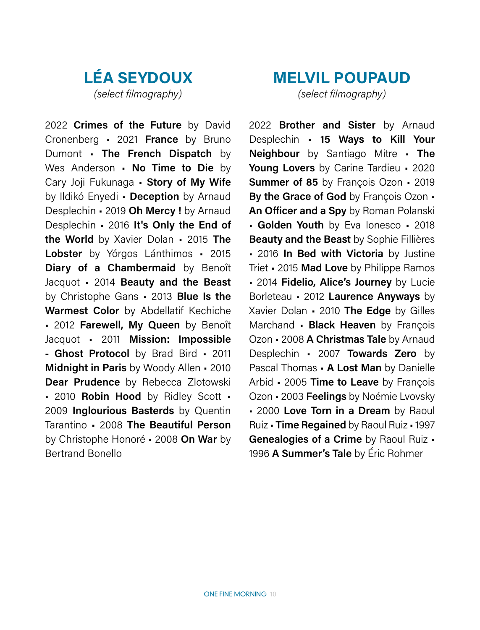## **LÉA SEYDOUX** *(select filmography)*

2022 **Crimes of the Future** by David Cronenberg • 2021 **France** by Bruno Dumont • **The French Dispatch** by Wes Anderson • **No Time to Die** by Cary Joji Fukunaga • **Story of My Wife** by Ildikó Enyedi • **Deception** by Arnaud Desplechin • 2019 **Oh Mercy !** by Arnaud Desplechin • 2016 **It's Only the End of the World** by Xavier Dolan • 2015 **The Lobster** by Yórgos Lánthimos • 2015 **Diary of a Chambermaid** by Benoît Jacquot • 2014 **Beauty and the Beast** by Christophe Gans • 2013 **Blue Is the Warmest Color** by Abdellatif Kechiche • 2012 **Farewell, My Queen** by Benoît Jacquot • 2011 **Mission: Impossible - Ghost Protocol** by Brad Bird • 2011 **Midnight in Paris** by Woody Allen • 2010 **Dear Prudence** by Rebecca Zlotowski • 2010 **Robin Hood** by Ridley Scott • 2009 **Inglourious Basterds** by Quentin Tarantino • 2008 **The Beautiful Person** by Christophe Honoré • 2008 **On War** by Bertrand Bonello

## **MELVIL POUPAUD** *(select filmography)*

2022 **Brother and Sister** by Arnaud Desplechin • **15 Ways to Kill Your Neighbour** by Santiago Mitre • **The Young Lovers** by Carine Tardieu • 2020 **Summer of 85** by François Ozon • 2019 **By the Grace of God** by François Ozon • **An Officer and a Spy** by Roman Polanski • **Golden Youth** by Eva Ionesco • 2018 **Beauty and the Beast** by Sophie Fillières • 2016 **In Bed with Victoria** by Justine Triet • 2015 **Mad Love** by Philippe Ramos • 2014 **Fidelio, Alice's Journey** by Lucie Borleteau • 2012 **Laurence Anyways** by Xavier Dolan • 2010 **The Edge** by Gilles Marchand • **Black Heaven** by François Ozon • 2008 **A Christmas Tale** by Arnaud Desplechin • 2007 **Towards Zero** by Pascal Thomas • **A Lost Man** by Danielle Arbid • 2005 **Time to Leave** by François Ozon • 2003 **Feelings** by Noémie Lvovsky • 2000 **Love Torn in a Dream** by Raoul Ruiz • **Time Regained** by Raoul Ruiz • 1997 **Genealogies of a Crime** by Raoul Ruiz • 1996 **A Summer's Tale** by Éric Rohmer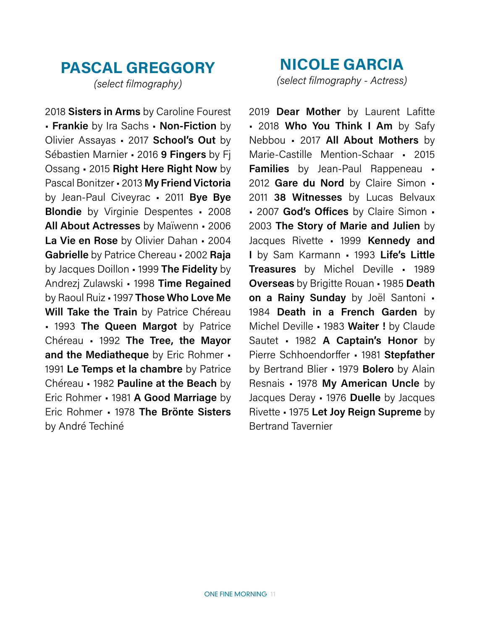# **PASCAL GREGGORY**

*(select filmography)*

2018 **Sisters in Arms** by Caroline Fourest • **Frankie** by Ira Sachs • **Non-Fiction** by Olivier Assayas • 2017 **School's Out** by Sébastien Marnier • 2016 **9 Fingers** by Fj Ossang • 2015 **Right Here Right Now** by Pascal Bonitzer • 2013 **My Friend Victoria** by Jean-Paul Civeyrac • 2011 **Bye Bye Blondie** by Virginie Despentes • 2008 **All About Actresses** by Maïwenn • 2006 **La Vie en Rose** by Olivier Dahan • 2004 **Gabrielle** by Patrice Chereau • 2002 **Raja** by Jacques Doillon • 1999 **The Fidelity** by Andrezj Zulawski • 1998 **Time Regained** by Raoul Ruiz • 1997 **Those Who Love Me Will Take the Train** by Patrice Chéreau • 1993 **The Queen Margot** by Patrice Chéreau • 1992 **The Tree, the Mayor and the Mediatheque** by Eric Rohmer • 1991 **Le Temps et la chambre** by Patrice Chéreau • 1982 **Pauline at the Beach** by Eric Rohmer • 1981 **A Good Marriage** by Eric Rohmer • 1978 **The Brönte Sisters** by André Techiné

**NICOLE GARCIA** *(select filmography - Actress)*

2019 **Dear Mother** by Laurent Lafitte • 2018 **Who You Think I Am** by Safy Nebbou • 2017 **All About Mothers** by Marie-Castille Mention-Schaar • 2015 **Families** by Jean-Paul Rappeneau • 2012 **Gare du Nord** by Claire Simon • 2011 **38 Witnesses** by Lucas Belvaux • 2007 **God's Offices** by Claire Simon • 2003 **The Story of Marie and Julien** by Jacques Rivette • 1999 **Kennedy and I** by Sam Karmann • 1993 **Life's Little Treasures** by Michel Deville • 1989 **Overseas** by Brigitte Rouan • 1985 **Death on a Rainy Sunday** by Joël Santoni • 1984 **Death in a French Garden** by Michel Deville • 1983 **Waiter !** by Claude Sautet • 1982 **A Captain's Honor** by Pierre Schhoendorffer • 1981 **Stepfather** by Bertrand Blier • 1979 **Bolero** by Alain Resnais • 1978 **My American Uncle** by Jacques Deray • 1976 **Duelle** by Jacques Rivette • 1975 **Let Joy Reign Supreme** by Bertrand Tavernier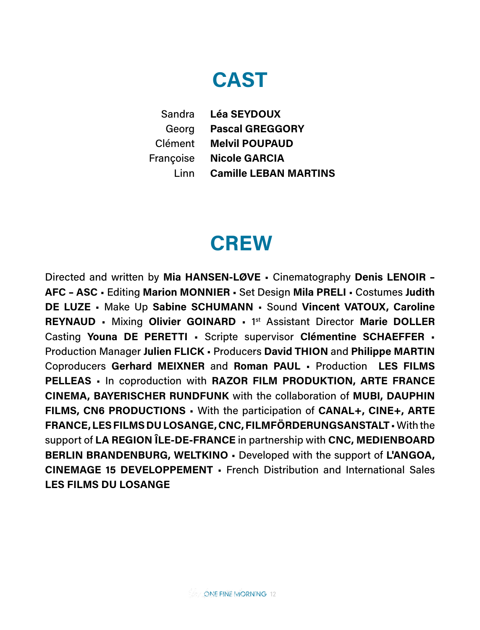# **CAST**

**Léa SEYDOUX Pascal GREGGORY Melvil POUPAUD** Françoise Nicole GARCIA **Camille LEBAN MARTINS** Sandra Georg Clément Linn

# **CREW**

Directed and written by **Mia HANSEN-LØVE** • Cinematography **Denis LENOIR – AFC – ASC** • Editing **Marion MONNIER** • Set Design **Mila PRELI** • Costumes **Judith DE LUZE** • Make Up **Sabine SCHUMANN** • Sound **Vincent VATOUX, Caroline REYNAUD** • Mixing **Olivier GOINARD** • 1st Assistant Director **Marie DOLLER** Casting **Youna DE PERETTI** • Scripte supervisor **Clémentine SCHAEFFER** • Production Manager **Julien FLICK** • Producers **David THION** and **Philippe MARTIN** Coproducers **Gerhard MEIXNER** and **Roman PAUL** • Production **LES FILMS PELLEAS** • In coproduction with **RAZOR FILM PRODUKTION, ARTE FRANCE CINEMA, BAYERISCHER RUNDFUNK** with the collaboration of **MUBI, DAUPHIN FILMS, CN6 PRODUCTIONS** • With the participation of **CANAL+, CINE+, ARTE FRANCE, LES FILMS DU LOSANGE, CNC, FILMFÖRDERUNGSANSTALT** • With the support of **LA REGION ÎLE-DE-FRANCE** in partnership with **CNC, MEDIENBOARD BERLIN BRANDENBURG, WELTKINO** • Developed with the support of **L'ANGOA, CINEMAGE 15 DEVELOPPEMENT** • French Distribution and International Sales **LES FILMS DU LOSANGE**